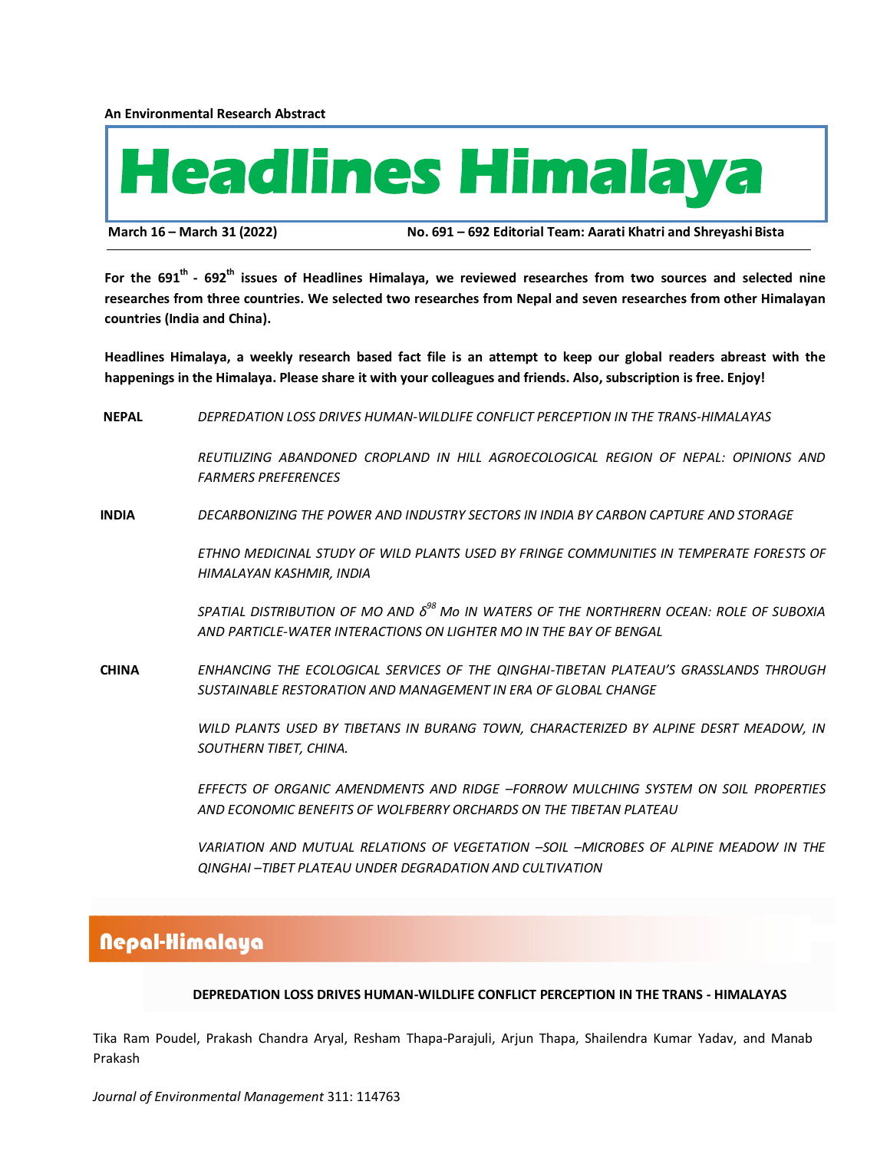**An Environmental Research Abstract**



**March 16 – March 31 (2022) No. 691 – 692 Editorial Team: Aarati Khatri and ShreyashiBista**

**For the 691 th - 692th issues of Headlines Himalaya, we reviewed researches from two sources and selected nine researches from three countries. We selected two researches from Nepal and seven researches from other Himalayan countries (India and China).**

**Headlines Himalaya, a weekly research based fact file is an attempt to keep our global readers abreast with the happenings in the Himalaya. Please share it with your colleagues and friends. Also, subscription is free. Enjoy!**

 **NEPAL** *DEPREDATION LOSS DRIVES HUMAN-WILDLIFE CONFLICT PERCEPTION IN THE TRANS-HIMALAYAS*

*REUTILIZING ABANDONED CROPLAND IN HILL AGROECOLOGICAL REGION OF NEPAL: OPINIONS AND FARMERS PREFERENCES*

 **INDIA** *DECARBONIZING THE POWER AND INDUSTRY SECTORS IN INDIA BY CARBON CAPTURE AND STORAGE*

*ETHNO MEDICINAL STUDY OF WILD PLANTS USED BY FRINGE COMMUNITIES IN TEMPERATE FORESTS OF HIMALAYAN KASHMIR, INDIA*

*SPATIAL DISTRIBUTION OF MO AND δ <sup>98</sup> Mo IN WATERS OF THE NORTHRERN OCEAN: ROLE OF SUBOXIA AND PARTICLE-WATER INTERACTIONS ON LIGHTER MO IN THE BAY OF BENGAL*

 **CHINA** *ENHANCING THE ECOLOGICAL SERVICES OF THE QINGHAI-TIBETAN PLATEAU'S GRASSLANDS THROUGH SUSTAINABLE RESTORATION AND MANAGEMENT IN ERA OF GLOBAL CHANGE*

> *WILD PLANTS USED BY TIBETANS IN BURANG TOWN, CHARACTERIZED BY ALPINE DESRT MEADOW, IN SOUTHERN TIBET, CHINA.*

> *EFFECTS OF ORGANIC AMENDMENTS AND RIDGE –FORROW MULCHING SYSTEM ON SOIL PROPERTIES AND ECONOMIC BENEFITS OF WOLFBERRY ORCHARDS ON THE TIBETAN PLATEAU*

> *VARIATION AND MUTUAL RELATIONS OF VEGETATION –SOIL –MICROBES OF ALPINE MEADOW IN THE QINGHAI –TIBET PLATEAU UNDER DEGRADATION AND CULTIVATION*

# Nepal-Himalaya

#### **DEPREDATION LOSS DRIVES HUMAN-WILDLIFE CONFLICT PERCEPTION IN THE TRANS - HIMALAYAS**

Tika Ram Poudel, Prakash Chandra Aryal, Resham Thapa-Parajuli, Arjun Thapa, Shailendra Kumar Yadav, and Manab Prakash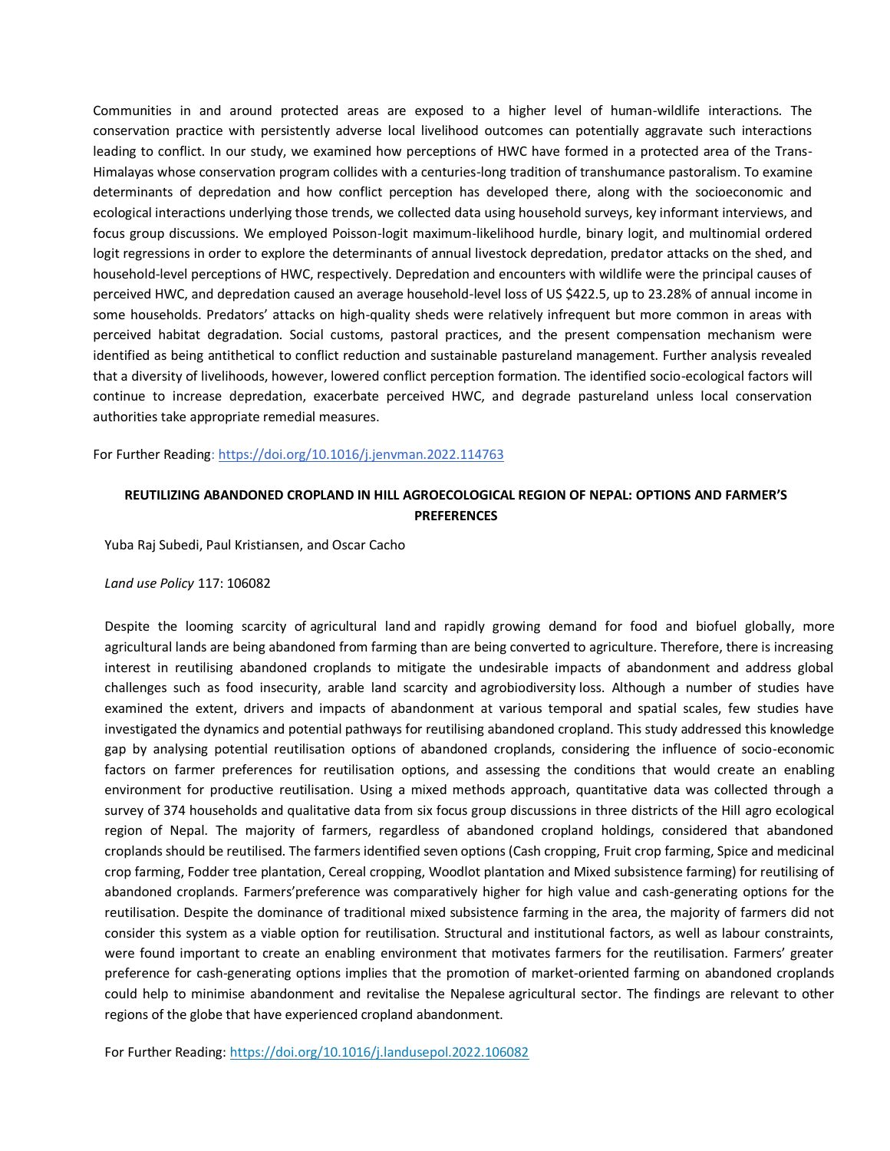Communities in and around protected areas are exposed to a higher level of human-wildlife interactions. The conservation practice with persistently adverse local livelihood outcomes can potentially aggravate such interactions leading to conflict. In our study, we examined how perceptions of HWC have formed in a protected area of the Trans-Himalayas whose conservation program collides with a centuries-long tradition of [transhumance](https://www.sciencedirect.com/topics/earth-and-planetary-sciences/transhumance) [pastoralism.](https://www.sciencedirect.com/topics/earth-and-planetary-sciences/pastoralism) To examine determinants of depredation and how conflict perception has developed there, along with the socioeconomic and ecological interactions underlying those trends, we collected data using household surveys, key informant interviews, and focus group discussions. We employed Poisson-logit maximum-likelihood hurdle, binary logit, and multinomial ordered logit regressions in order to explore the determinants of annual livestock depredation, predator attacks on the shed, and household-level perceptions of HWC, respectively. Depredation and encounters with wildlife were the principal causes of perceived HWC, and depredation caused an average household-level loss of US \$422.5, up to 23.28% of annual income in some households. Predators' attacks on high-quality sheds were relatively infrequent but more common in areas with perceived habitat degradation. Social customs, pastoral practices, and the present compensation mechanism were identified as being antithetical to conflict reduction and sustainable pastureland management. Further analysis revealed that a diversity of livelihoods, however, lowered conflict perception formation. The identified socio-ecological factors will continue to increase depredation, exacerbate perceived HWC, and degrade pastureland unless local conservation authorities take appropriate [remedial measures.](https://www.sciencedirect.com/topics/engineering/remedial-measure)

For Further Reading:<https://doi.org/10.1016/j.jenvman.2022.114763>

## **REUTILIZING ABANDONED CROPLAND IN HILL AGROECOLOGICAL REGION OF NEPAL: OPTIONS AND FARMER'S PREFERENCES**

Yuba Raj Subedi, Paul Kristiansen, and Oscar Cacho

#### *Land use Policy* 117: 106082

Despite the looming scarcity of [agricultural land](https://www.sciencedirect.com/topics/agricultural-and-biological-sciences/arable-land) and rapidly growing demand for food and biofuel globally, more agricultural lands are being abandoned from farming than are being converted to agriculture. Therefore, there is increasing interest in reutilising abandoned croplands to mitigate the undesirable impacts of abandonment and address global challenges such as food insecurity, arable land scarcity and [agrobiodiversity](https://www.sciencedirect.com/topics/agricultural-and-biological-sciences/agricultural-biodiversity) loss. Although a number of studies have examined the extent, drivers and impacts of abandonment at various temporal and spatial scales, few studies have investigated the dynamics and potential pathways for reutilising abandoned cropland. This study addressed this knowledge gap by analysing potential reutilisation options of abandoned croplands, considering the influence of socio-economic factors on farmer preferences for reutilisation options, and assessing the conditions that would create an enabling environment for productive reutilisation. Using a mixed methods approach, quantitative data was collected through a survey of 374 households and qualitative data from six focus group discussions in three districts of the Hill agro ecological region of Nepal. The majority of farmers, regardless of abandoned cropland holdings, considered that abandoned croplands should be reutilised. The farmers identified seven options (Cash cropping, [Fruit crop](https://www.sciencedirect.com/topics/agricultural-and-biological-sciences/fruit-crops) farming, Spice and [medicinal](https://www.sciencedirect.com/topics/agricultural-and-biological-sciences/medicinal-crop)  [crop](https://www.sciencedirect.com/topics/agricultural-and-biological-sciences/medicinal-crop) farming, Fodder tree [plantation,](https://www.sciencedirect.com/topics/agricultural-and-biological-sciences/plantations) Cereal cropping, [Woodlot](https://www.sciencedirect.com/topics/agricultural-and-biological-sciences/woodlot) plantation and Mixed subsistence farming) for reutilising of abandoned croplands. Farmers'preference was comparatively higher for high value and cash-generating options for the reutilisation. Despite the dominance of traditional mixed [subsistence farming](https://www.sciencedirect.com/topics/agricultural-and-biological-sciences/subsistence-agriculture) in the area, the majority of farmers did not consider this system as a viable option for reutilisation. Structural and institutional factors, as well as labour constraints, were found important to create an enabling environment that motivates farmers for the reutilisation. Farmers' greater preference for cash-generating options implies that the promotion of market-oriented farming on abandoned croplands could help to minimise abandonment and revitalise the Nepalese [agricultural sector.](https://www.sciencedirect.com/topics/social-sciences/agricultural-sector) The findings are relevant to other regions of the globe that have experienced cropland abandonment.

For Further Reading:<https://doi.org/10.1016/j.landusepol.2022.106082>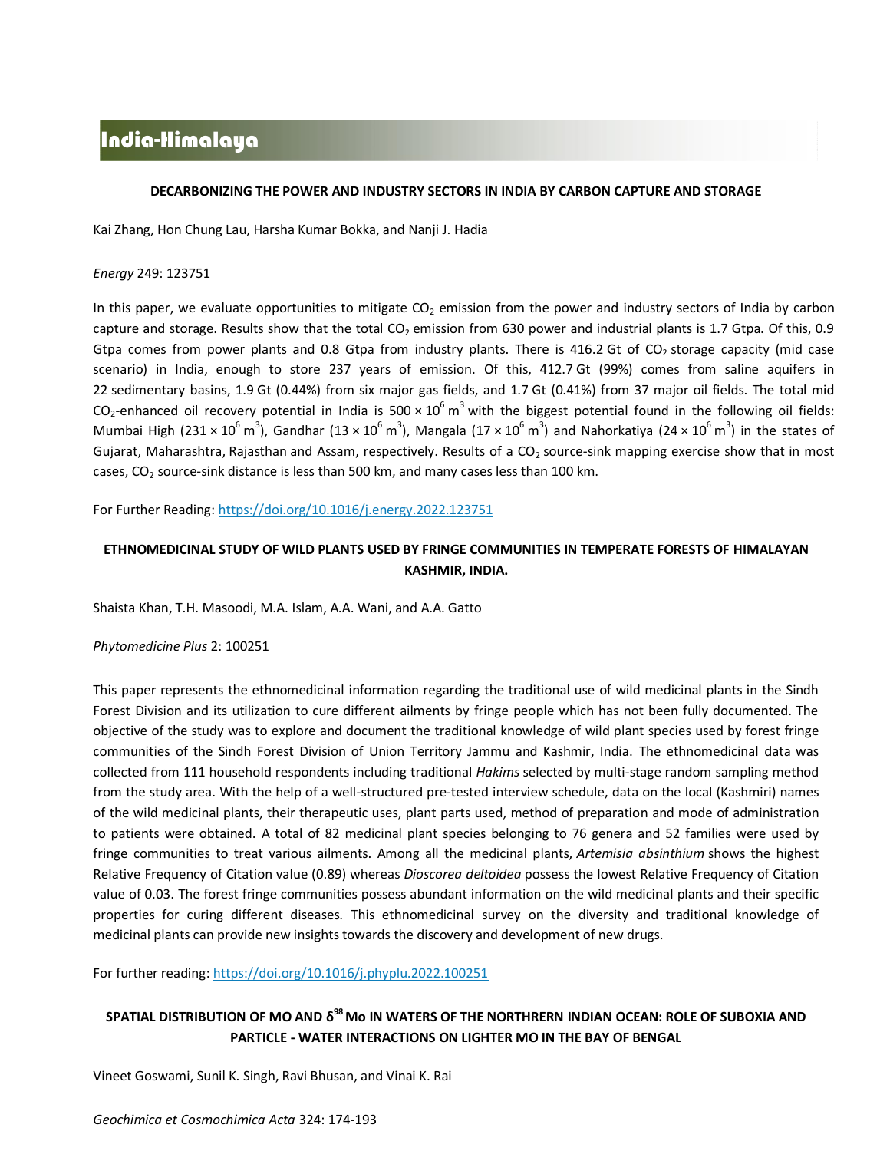# India-Himalaya

### **DECARBONIZING THE POWER AND INDUSTRY SECTORS IN INDIA BY CARBON CAPTURE AND STORAGE**

Kai Zhang, Hon Chung Lau, Harsha Kumar Bokka, and Nanji J. Hadia

### *Energy* 249: 123751

In this paper, we evaluate opportunities to mitigate  $CO<sub>2</sub>$  emission from the power and industry sectors of India by carbon [capture and storage.](https://www.sciencedirect.com/topics/engineering/carbon-capture-and-storage) Results show that the total  $CO<sub>2</sub>$  emission from 630 power and industrial plants is 1.7 Gtpa. Of this, 0.9 Gtpa comes from power plants and 0.8 Gtpa from industry plants. There is 416.2 Gt of  $CO<sub>2</sub>$  storage capacity (mid case scenario) in India, enough to store 237 years of emission. Of this, 412.7 Gt (99%) comes from saline aquifers in 22 [sedimentary basins,](https://www.sciencedirect.com/topics/engineering/sedimentary-basin) 1.9 Gt (0.44%) from six major gas fields, and 1.7 Gt (0.41%) from 37 major oil fields. The total mid CO<sub>2</sub>-enhanced oil recovery potential in India is 500  $\times$  10<sup>6</sup> m<sup>3</sup> with the biggest potential found in the following oil fields: Mumbai High (231 × 10<sup>6</sup> m<sup>3</sup>), Gandhar (13 × 10<sup>6</sup> m<sup>3</sup>), Mangala (17 × 10<sup>6</sup> m<sup>3</sup>) and Nahorkatiya (24 × 10<sup>6</sup> m<sup>3</sup>) in the states of Gujarat, Maharashtra, [Rajasthan](https://www.sciencedirect.com/topics/engineering/rajasthan) and Assam, respectively. Results of a CO<sub>2</sub> source-sink mapping exercise show that in most cases,  $CO<sub>2</sub>$  source-sink distance is less than 500 km, and many cases less than 100 km.

For Further Reading: <https://doi.org/10.1016/j.energy.2022.123751>

## **ETHNOMEDICINAL STUDY OF WILD PLANTS USED BY FRINGE COMMUNITIES IN TEMPERATE FORESTS OF HIMALAYAN KASHMIR, INDIA.**

Shaista Khan, T.H. Masoodi, M.A. Islam, A.A. Wani, and A.A. Gatto

*Phytomedicine Plus* 2: 100251

This paper represents the ethnomedicinal information regarding the traditional use of wild medicinal plants in the Sindh Forest Division and its utilization to cure different ailments by fringe people which has not been fully documented. The objective of the study was to explore and document the traditional knowledge of wild plant species used by forest fringe communities of the Sindh Forest Division of Union Territory Jammu and Kashmir, India. The ethnomedicinal data was collected from 111 household respondents including traditional *Hakims* selected by multi-stage random sampling method from the study area. With the help of a well-structured pre-tested interview schedule, data on the local (Kashmiri) names of the wild medicinal plants, their therapeutic uses, plant parts used, method of preparation and mode of administration to patients were obtained. A total of 82 medicinal plant species belonging to 76 genera and 52 families were used by fringe communities to treat various ailments. Among all the medicinal plants, *[Artemisia absinthium](https://www.sciencedirect.com/topics/medicine-and-dentistry/artemisia-absinthium)* shows the highest Relative Frequency of Citation value (0.89) whereas *Dioscorea deltoidea* possess the lowest Relative Frequency of Citation value of 0.03. The forest fringe communities possess abundant information on the wild medicinal plants and their specific properties for curing different diseases. This ethnomedicinal survey on the diversity and traditional knowledge of medicinal plants can provide new insights towards the discovery and development of new drugs.

For further reading[: https://doi.org/10.1016/j.phyplu.2022.100251](https://doi.org/10.1016/j.phyplu.2022.100251)

## **SPATIAL DISTRIBUTION OF MO AND δ <sup>98</sup> Mo IN WATERS OF THE NORTHRERN INDIAN OCEAN: ROLE OF SUBOXIA AND PARTICLE - WATER INTERACTIONS ON LIGHTER MO IN THE BAY OF BENGAL**

Vineet Goswami, Sunil K. Singh, Ravi Bhusan, and Vinai K. Rai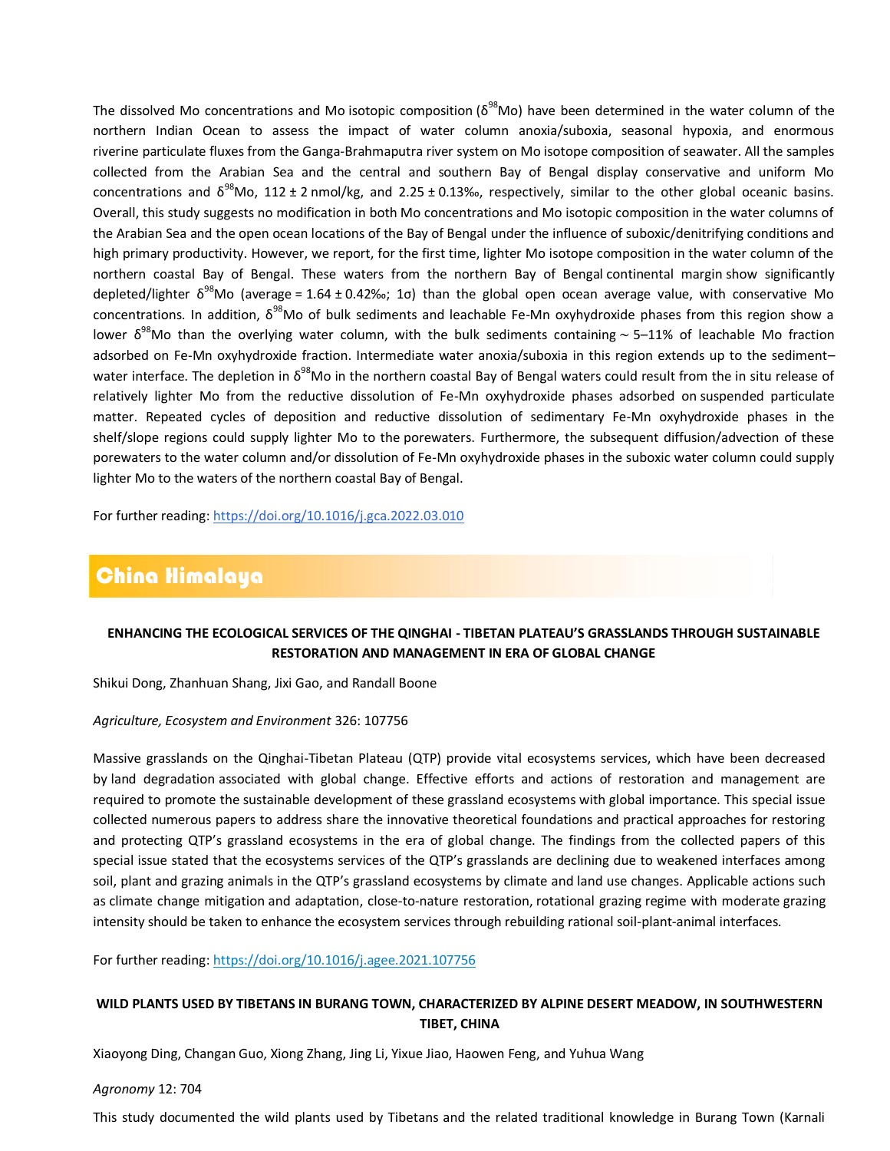The dissolved Mo concentrations and Mo [isotopic composition](https://www.sciencedirect.com/topics/earth-and-planetary-sciences/isotopic-composition) ( $\delta^{98}$ Mo) have been determined in the water column of the northern Indian Ocean to assess the impact of water column anoxia/suboxia, seasonal hypoxia, and enormous riverine [particulate fluxes](https://www.sciencedirect.com/topics/earth-and-planetary-sciences/particulate-flux) from the Ganga-Brahmaputra river system on [Mo isotope](https://www.sciencedirect.com/topics/earth-and-planetary-sciences/molybdenum-isotopes) composition of seawater. All the samples collected from the Arabian Sea and the central and southern Bay of Bengal display conservative and uniform Mo concentrations and  $\delta^{98}$ Mo, 112 ± 2 nmol/kg, and 2.25 ± 0.13‰, respectively, similar to the other global oceanic basins. Overall, this study suggests no modification in both Mo concentrations and Mo isotopic composition in the water columns of the Arabian Sea and the open ocean locations of the Bay of Bengal under the influence of suboxic/denitrifying conditions and high primary productivity. However, we report, for the first time, lighter Mo isotope composition in the water column of the northern coastal Bay of Bengal. These waters from the northern Bay of Bengal [continental margin](https://www.sciencedirect.com/topics/earth-and-planetary-sciences/continental-shelf) show significantly depleted/lighter  $\delta^{98}$ Mo (average = 1.64 ± 0.42‰; 1 $\sigma$ ) than the global open ocean average value, with conservative Mo concentrations. In addition,  $\delta^{98}$ Mo of bulk sediments and leachable Fe-Mn oxyhydroxide phases from this region show a lower δ<sup>98</sup>Mo than the overlying water column, with the bulk sediments containing ~ 5–11% of leachable Mo fraction adsorbed on Fe-Mn oxyhydroxide fraction. Intermediate water anoxia/suboxia in this region extends up to the sediment– water interface. The depletion in  $\delta^{98}$ Mo in the northern coastal Bay of Bengal waters could result from the in situ release of relatively lighter Mo from the reductive dissolution of Fe-Mn oxyhydroxide phases adsorbed on [suspended particulate](https://www.sciencedirect.com/topics/earth-and-planetary-sciences/suspended-particulate-matter)  [matter.](https://www.sciencedirect.com/topics/earth-and-planetary-sciences/suspended-particulate-matter) Repeated cycles of deposition and reductive dissolution of sedimentary Fe-Mn oxyhydroxide phases in the shelf/slope regions could supply lighter Mo to the [porewaters.](https://www.sciencedirect.com/topics/earth-and-planetary-sciences/porewater) Furthermore, the subsequent diffusion/advection of these porewaters to the water column and/or dissolution of Fe-Mn oxyhydroxide phases in the suboxic water column could supply lighter Mo to the waters of the northern coastal Bay of Bengal.

For further reading[: https://doi.org/10.1016/j.gca.2022.03.010](https://doi.org/10.1016/j.gca.2022.03.010)

# China Himalaya

## **ENHANCING THE ECOLOGICAL SERVICES OF THE QINGHAI - TIBETAN PLATEAU'S GRASSLANDS THROUGH SUSTAINABLE RESTORATION AND MANAGEMENT IN ERA OF GLOBAL CHANGE**

Shikui Dong, Zhanhuan Shang, Jixi Gao, and Randall Boone

### *Agriculture, Ecosystem and Environment* 326: 107756

Massive grasslands on the Qinghai-Tibetan Plateau (QTP) provide vital ecosystems services, which have been decreased by [land degradation](https://www.sciencedirect.com/topics/earth-and-planetary-sciences/land-degradation) associated with global change. Effective efforts and actions of restoration and management are required to promote the [sustainable development](https://www.sciencedirect.com/topics/earth-and-planetary-sciences/environmental-impact-assessment) of these [grassland ecosystems](https://www.sciencedirect.com/topics/earth-and-planetary-sciences/grassland-ecosystem) with global importance. This special issue collected numerous papers to address share the innovative theoretical foundations and practical approaches for restoring and protecting QTP's grassland ecosystems in the era of global change. The findings from the collected papers of this special issue stated that the ecosystems services of the QTP's grasslands are declining due to weakened interfaces among soil, plant and grazing animals in the QTP's grassland ecosystems by climate and [land use changes.](https://www.sciencedirect.com/topics/earth-and-planetary-sciences/land-use-change) Applicable actions such as [climate change mitigation](https://www.sciencedirect.com/topics/earth-and-planetary-sciences/climate-change-mitigation) and adaptation, close-to-nature restoration, [rotational grazing](https://www.sciencedirect.com/topics/agricultural-and-biological-sciences/rotational-grazing) regime with moderate [grazing](https://www.sciencedirect.com/topics/agricultural-and-biological-sciences/grazing-intensity)  [intensity](https://www.sciencedirect.com/topics/agricultural-and-biological-sciences/grazing-intensity) should be taken to enhance the ecosystem services through rebuilding rational soil-plant-animal interfaces.

For further reading: <https://doi.org/10.1016/j.agee.2021.107756>

## **WILD PLANTS USED BY TIBETANS IN BURANG TOWN, CHARACTERIZED BY ALPINE DESERT MEADOW, IN SOUTHWESTERN TIBET, CHINA**

Xiaoyong Ding, Changan Guo, Xiong Zhang, Jing Li, Yixue Jiao, Haowen Feng, and Yuhua Wang

#### *Agronomy* 12: 704

This study documented the wild plants used by Tibetans and the related traditional knowledge in Burang Town (Karnali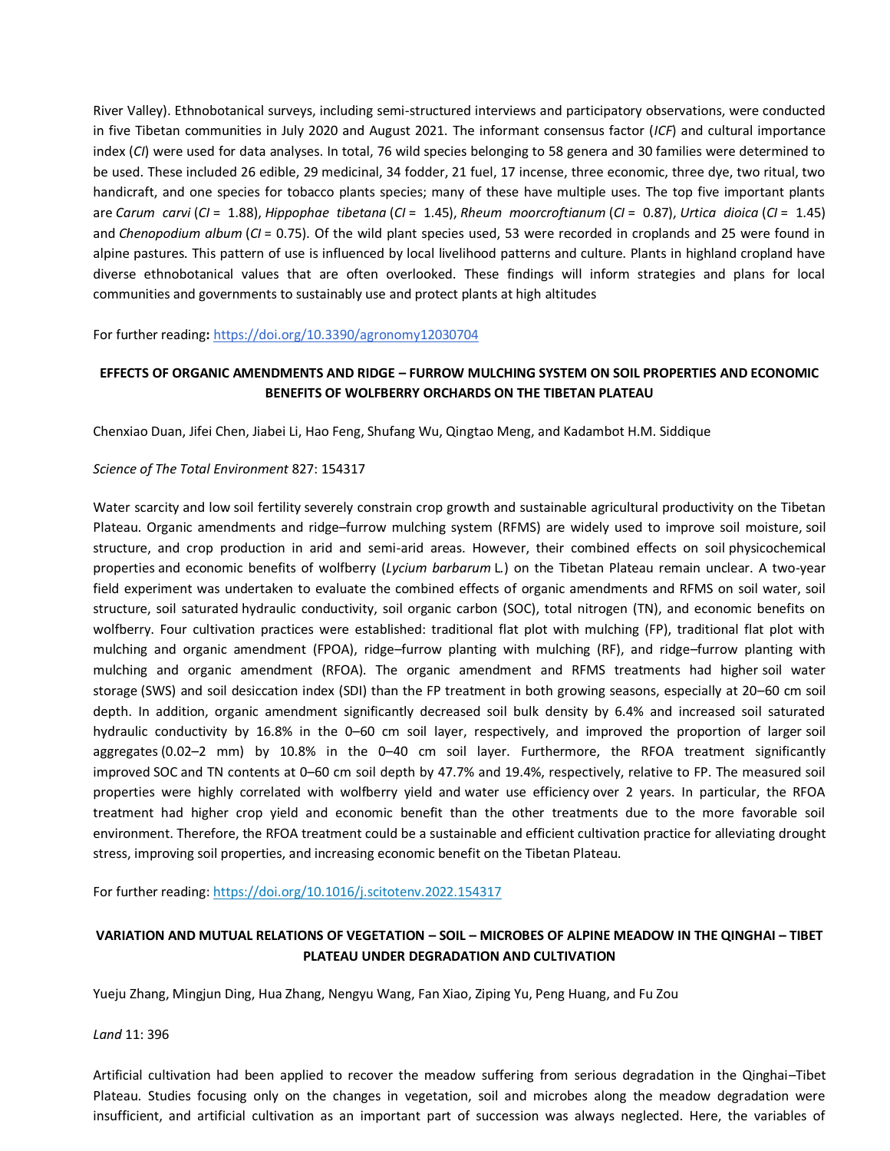River Valley). Ethnobotanical surveys, including semi-structured interviews and participatory observations, were conducted in five Tibetan communities in July 2020 and August 2021. The informant consensus factor (*ICF*) and cultural importance index (*CI*) were used for data analyses. In total, 76 wild species belonging to 58 genera and 30 families were determined to be used. These included 26 edible, 29 medicinal, 34 fodder, 21 fuel, 17 incense, three economic, three dye, two ritual, two handicraft, and one species for tobacco plants species; many of these have multiple uses. The top five important plants are *Carum carvi* (*CI* = 1.88), *Hippophae tibetana* (*CI* = 1.45), *Rheum moorcroftianum* (*CI* = 0.87), *Urtica dioica* (*CI* = 1.45) and *Chenopodium album* (*CI* = 0.75). Of the wild plant species used, 53 were recorded in croplands and 25 were found in alpine pastures. This pattern of use is influenced by local livelihood patterns and culture. Plants in highland cropland have diverse ethnobotanical values that are often overlooked. These findings will inform strategies and plans for local communities and governments to sustainably use and protect plants at high altitudes

For further reading**:** <https://doi.org/10.3390/agronomy12030704>

### **EFFECTS OF ORGANIC AMENDMENTS AND RIDGE – FURROW MULCHING SYSTEM ON SOIL PROPERTIES AND ECONOMIC BENEFITS OF WOLFBERRY ORCHARDS ON THE TIBETAN PLATEAU**

Chenxiao Duan, Jifei Chen, Jiabei Li, Hao Feng, Shufang Wu, Qingtao Meng, and Kadambot H.M. Siddique

### *Science of The Total Environment* 827: 154317

[Water scarcity](https://www.sciencedirect.com/topics/earth-and-planetary-sciences/water-scarcity) and low [soil fertility](https://www.sciencedirect.com/topics/earth-and-planetary-sciences/soil-fertility) severely constrain crop growth and sustainable agricultural productivity on the Tibetan Plateau. Organic amendments and ridge–furrow mulching system (RFMS) are widely used to improve soil moisture, [soil](https://www.sciencedirect.com/topics/earth-and-planetary-sciences/soil-structure)  [structure,](https://www.sciencedirect.com/topics/earth-and-planetary-sciences/soil-structure) and crop production in arid and semi-arid areas. However, their combined effects on soil [physicochemical](https://www.sciencedirect.com/topics/earth-and-planetary-sciences/physicochemical-property)  [properties](https://www.sciencedirect.com/topics/earth-and-planetary-sciences/physicochemical-property) and economic benefits of wolfberry (*Lycium barbarum* L*.*) on the Tibetan Plateau remain unclear. A two-year field experiment was undertaken to evaluate the combined effects of organic amendments and RFMS on soil water, soil structure, soil saturated [hydraulic conductivity,](https://www.sciencedirect.com/topics/earth-and-planetary-sciences/hydraulic-conductivity) soil organic carbon (SOC), total nitrogen (TN), and economic benefits on wolfberry. Four cultivation practices were established: traditional flat plot with mulching (FP), traditional flat plot with mulching and organic amendment (FPOA), ridge–furrow planting with mulching (RF), and ridge–furrow planting with mulching and organic amendment (RFOA). The organic amendment and RFMS treatments had higher [soil water](https://www.sciencedirect.com/topics/earth-and-planetary-sciences/soil-water-storage)  [storage](https://www.sciencedirect.com/topics/earth-and-planetary-sciences/soil-water-storage) (SWS) and soil desiccation index (SDI) than the FP treatment in both growing seasons, especially at 20–60 cm soil depth. In addition, organic amendment significantly decreased soil bulk density by 6.4% and increased soil saturated hydraulic conductivity by 16.8% in the 0–60 cm soil layer, respectively, and improved the proportion of larger [soil](https://www.sciencedirect.com/topics/earth-and-planetary-sciences/soil-aggregate)  [aggregates](https://www.sciencedirect.com/topics/earth-and-planetary-sciences/soil-aggregate) (0.02–2 mm) by 10.8% in the 0–40 cm soil layer. Furthermore, the RFOA treatment significantly improved [SOC](https://www.sciencedirect.com/topics/earth-and-planetary-sciences/organic-carbon) and TN contents at 0–60 cm soil depth by 47.7% and 19.4%, respectively, relative to FP. The measured soil properties were highly correlated with wolfberry yield and [water use efficiency](https://www.sciencedirect.com/topics/earth-and-planetary-sciences/water-use-efficiency) over 2 years. In particular, the RFOA treatment had higher crop yield and economic benefit than the other treatments due to the more favorable soil environment. Therefore, the RFOA treatment could be a sustainable and efficient cultivation practice for alleviating [drought](https://www.sciencedirect.com/topics/earth-and-planetary-sciences/drought-stress)  [stress,](https://www.sciencedirect.com/topics/earth-and-planetary-sciences/drought-stress) improving soil properties, and increasing economic benefit on the Tibetan Plateau.

For further reading[: https://doi.org/10.1016/j.scitotenv.2022.154317](https://doi.org/10.1016/j.scitotenv.2022.154317)

## **VARIATION AND MUTUAL RELATIONS OF VEGETATION – SOIL – MICROBES OF ALPINE MEADOW IN THE QINGHAI – TIBET PLATEAU UNDER DEGRADATION AND CULTIVATION**

Yueju Zhang, Mingjun Ding, Hua Zhang, Nengyu Wang, Fan Xiao, Ziping Yu, Peng Huang, and Fu Zou

### *[Land](https://econpapers.repec.org/article/gamjlands/)* 11: 396

Artificial cultivation had been applied to recover the meadow suffering from serious degradation in the Qinghai–Tibet Plateau. Studies focusing only on the changes in vegetation, soil and microbes along the meadow degradation were insufficient, and artificial cultivation as an important part of succession was always neglected. Here, the variables of